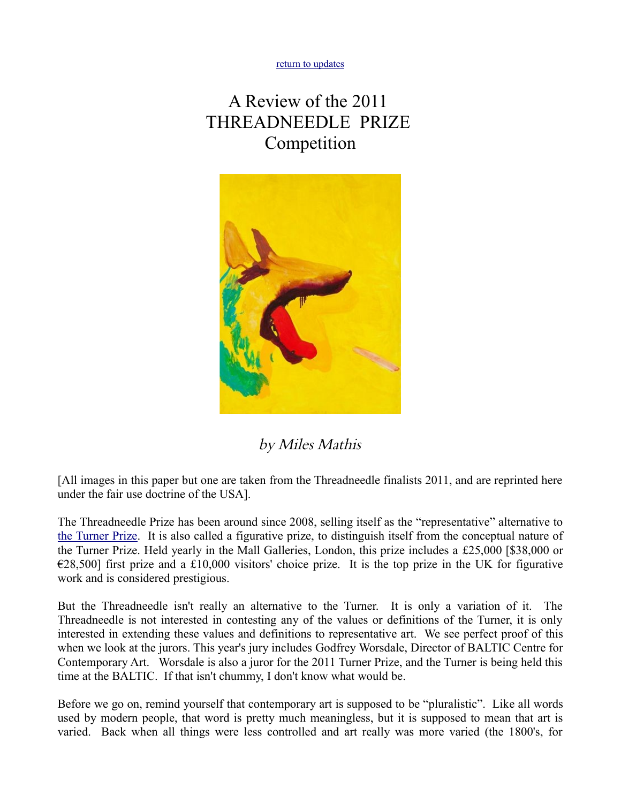[return to updates](http://mileswmathis.com/updates.html)

## A Review of the 2011 THREADNEEDLE PRIZE Competition



by Miles Mathis

[All images in this paper but one are taken from the Threadneedle finalists 2011, and are reprinted here under the fair use doctrine of the USA].

The Threadneedle Prize has been around since 2008, selling itself as the "representative" alternative to [the Turner Prize.](http://mileswmathis.com/turner.html) It is also called a figurative prize, to distinguish itself from the conceptual nature of the Turner Prize. Held yearly in the Mall Galleries, London, this prize includes a £25,000 [\$38,000 or  $\epsilon$ 28,500] first prize and a £10,000 visitors' choice prize. It is the top prize in the UK for figurative work and is considered prestigious.

But the Threadneedle isn't really an alternative to the Turner. It is only a variation of it. The Threadneedle is not interested in contesting any of the values or definitions of the Turner, it is only interested in extending these values and definitions to representative art. We see perfect proof of this when we look at the jurors. This year's jury includes Godfrey Worsdale, Director of BALTIC Centre for Contemporary Art. Worsdale is also a juror for the 2011 Turner Prize, and the Turner is being held this time at the BALTIC. If that isn't chummy, I don't know what would be.

Before we go on, remind yourself that contemporary art is supposed to be "pluralistic". Like all words used by modern people, that word is pretty much meaningless, but it is supposed to mean that art is varied. Back when all things were less controlled and art really was more varied (the 1800's, for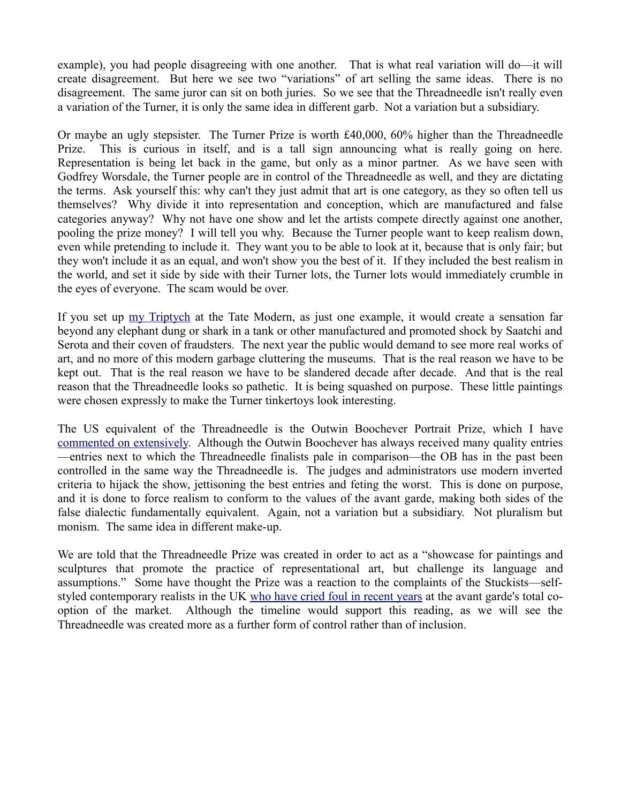example), you had people disagreeing with one another. That is what real variation will do—it will create disagreement. But here we see two "variations" of art selling the same ideas. There is no disagreement. The same juror can sit on both juries. So we see that the Threadneedle isn't really even a variation of the Turner, it is only the same idea in different garb. Not a variation but a subsidiary.

Or maybe an ugly stepsister. The Turner Prize is worth £40,000, 60% higher than the Threadneedle Prize. This is curious in itself, and is a tall sign announcing what is really going on here. Representation is being let back in the game, but only as a minor partner. As we have seen with Godfrey Worsdale, the Turner people are in control of the Threadneedle as well, and they are dictating the terms. Ask yourself this: why can't they just admit that art is one category, as they so often tell us themselves? Why divide it into representation and conception, which are manufactured and false categories anyway? Why not have one show and let the artists compete directly against one another, pooling the prize money? I will tell you why. Because the Turner people want to keep realism down, even while pretending to include it. They want you to be able to look at it, because that is only fair; but they won't include it as an equal, and won't show you the best of it. If they included the best realism in the world, and set it side by side with their Turner lots, the Turner lots would immediately crumble in the eyes of everyone. The scam would be over.

If you set up <u>my Triptych</u> at the Tate Modern, as just one example, it would create a sensation far beyond any elephant dung or shark in a tank or other manufactured and promoted shock by Saatchi and Serota and their coven of fraudsters. The next year the public would demand to see more real works of art, and no more of this modern garbage cluttering the museums. That is the real reason we have to be kept out. That is the real reason we have to be slandered decade after decade. And that is the real reason that the Threadneedle looks so pathetic. It is being squashed on purpose. These little paintings were chosen expressly to make the Turner tinkertoys look interesting.

The US equivalent of the Threadneedle is the Outwin Boochever Portrait Prize, which I have [commented on extensively.](http://mileswmathis.com/ng.html) Although the Outwin Boochever has always received many quality entries —entries next to which the Threadneedle finalists pale in comparison—the OB has in the past been controlled in the same way the Threadneedle is. The judges and administrators use modern inverted criteria to hijack the show, jettisoning the best entries and feting the worst. This is done on purpose, and it is done to force realism to conform to the values of the avant garde, making both sides of the false dialectic fundamentally equivalent. Again, not a variation but a subsidiary. Not pluralism but monism. The same idea in different make-up.

We are told that the Threadneedle Prize was created in order to act as a "showcase for paintings and sculptures that promote the practice of representational art, but challenge its language and assumptions." Some have thought the Prize was a reaction to the complaints of the Stuckists—selfstyled contemporary realists in the UK [who have cried foul in recent years](http://mileswmathis.com/bbc.html) at the avant garde's total cooption of the market. Although the timeline would support this reading, as we will see the Threadneedle was created more as a further form of control rather than of inclusion.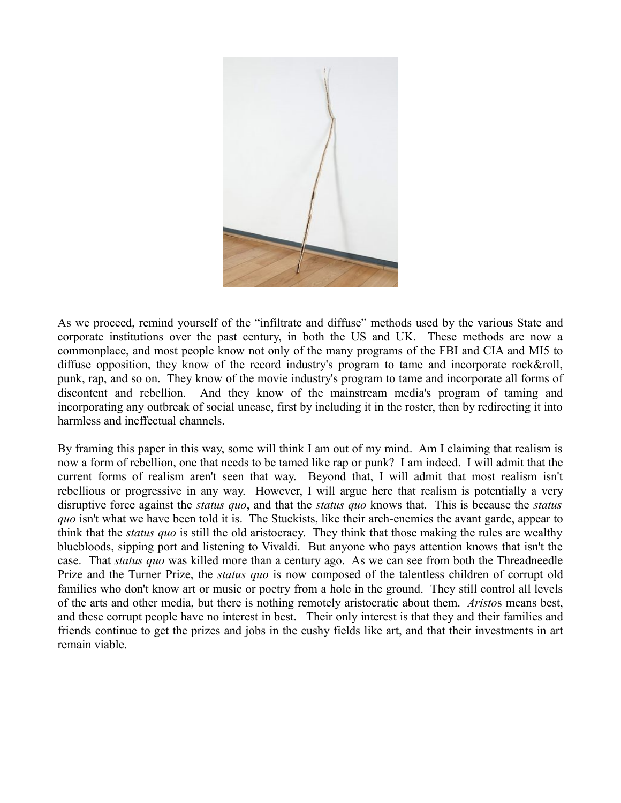

As we proceed, remind yourself of the "infiltrate and diffuse" methods used by the various State and corporate institutions over the past century, in both the US and UK. These methods are now a commonplace, and most people know not only of the many programs of the FBI and CIA and MI5 to diffuse opposition, they know of the record industry's program to tame and incorporate rock&roll, punk, rap, and so on. They know of the movie industry's program to tame and incorporate all forms of discontent and rebellion. And they know of the mainstream media's program of taming and incorporating any outbreak of social unease, first by including it in the roster, then by redirecting it into harmless and ineffectual channels.

By framing this paper in this way, some will think I am out of my mind. Am I claiming that realism is now a form of rebellion, one that needs to be tamed like rap or punk? I am indeed. I will admit that the current forms of realism aren't seen that way. Beyond that, I will admit that most realism isn't rebellious or progressive in any way. However, I will argue here that realism is potentially a very disruptive force against the *status quo*, and that the *status quo* knows that. This is because the *status quo* isn't what we have been told it is. The Stuckists, like their arch-enemies the avant garde, appear to think that the *status quo* is still the old aristocracy. They think that those making the rules are wealthy bluebloods, sipping port and listening to Vivaldi. But anyone who pays attention knows that isn't the case. That *status quo* was killed more than a century ago. As we can see from both the Threadneedle Prize and the Turner Prize, the *status quo* is now composed of the talentless children of corrupt old families who don't know art or music or poetry from a hole in the ground. They still control all levels of the arts and other media, but there is nothing remotely aristocratic about them. *Aristo*s means best, and these corrupt people have no interest in best. Their only interest is that they and their families and friends continue to get the prizes and jobs in the cushy fields like art, and that their investments in art remain viable.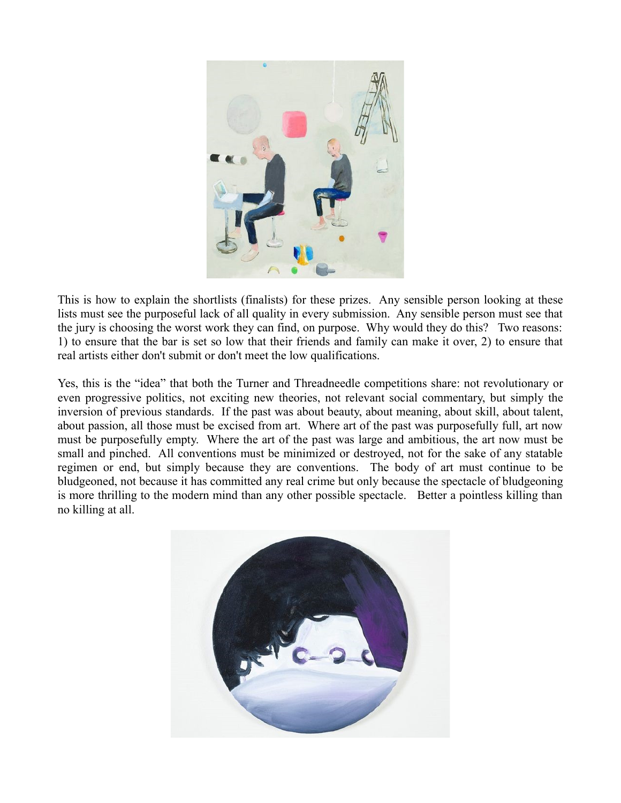

This is how to explain the shortlists (finalists) for these prizes. Any sensible person looking at these lists must see the purposeful lack of all quality in every submission. Any sensible person must see that the jury is choosing the worst work they can find, on purpose. Why would they do this? Two reasons: 1) to ensure that the bar is set so low that their friends and family can make it over, 2) to ensure that real artists either don't submit or don't meet the low qualifications.

Yes, this is the "idea" that both the Turner and Threadneedle competitions share: not revolutionary or even progressive politics, not exciting new theories, not relevant social commentary, but simply the inversion of previous standards. If the past was about beauty, about meaning, about skill, about talent, about passion, all those must be excised from art. Where art of the past was purposefully full, art now must be purposefully empty. Where the art of the past was large and ambitious, the art now must be small and pinched. All conventions must be minimized or destroyed, not for the sake of any statable regimen or end, but simply because they are conventions. The body of art must continue to be bludgeoned, not because it has committed any real crime but only because the spectacle of bludgeoning is more thrilling to the modern mind than any other possible spectacle. Better a pointless killing than no killing at all.

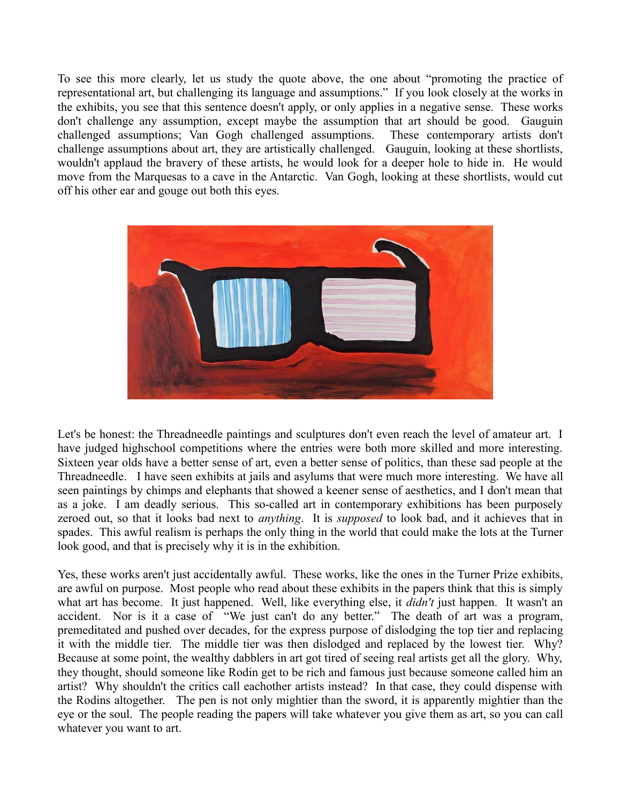To see this more clearly, let us study the quote above, the one about "promoting the practice of representational art, but challenging its language and assumptions." If you look closely at the works in the exhibits, you see that this sentence doesn't apply, or only applies in a negative sense. These works don't challenge any assumption, except maybe the assumption that art should be good. Gauguin challenged assumptions; Van Gogh challenged assumptions. These contemporary artists don't challenge assumptions about art, they are artistically challenged. Gauguin, looking at these shortlists, wouldn't applaud the bravery of these artists, he would look for a deeper hole to hide in. He would move from the Marquesas to a cave in the Antarctic. Van Gogh, looking at these shortlists, would cut off his other ear and gouge out both this eyes.



Let's be honest: the Threadneedle paintings and sculptures don't even reach the level of amateur art. I have judged highschool competitions where the entries were both more skilled and more interesting. Sixteen year olds have a better sense of art, even a better sense of politics, than these sad people at the Threadneedle. I have seen exhibits at jails and asylums that were much more interesting. We have all seen paintings by chimps and elephants that showed a keener sense of aesthetics, and I don't mean that as a joke. I am deadly serious. This so-called art in contemporary exhibitions has been purposely zeroed out, so that it looks bad next to *anything*. It is *supposed* to look bad, and it achieves that in spades. This awful realism is perhaps the only thing in the world that could make the lots at the Turner look good, and that is precisely why it is in the exhibition.

Yes, these works aren't just accidentally awful. These works, like the ones in the Turner Prize exhibits, are awful on purpose. Most people who read about these exhibits in the papers think that this is simply what art has become. It just happened. Well, like everything else, it *didn't* just happen. It wasn't an accident. Nor is it a case of "We just can't do any better." The death of art was a program, premeditated and pushed over decades, for the express purpose of dislodging the top tier and replacing it with the middle tier. The middle tier was then dislodged and replaced by the lowest tier. Why? Because at some point, the wealthy dabblers in art got tired of seeing real artists get all the glory. Why, they thought, should someone like Rodin get to be rich and famous just because someone called him an artist? Why shouldn't the critics call eachother artists instead? In that case, they could dispense with the Rodins altogether. The pen is not only mightier than the sword, it is apparently mightier than the eye or the soul. The people reading the papers will take whatever you give them as art, so you can call whatever you want to art.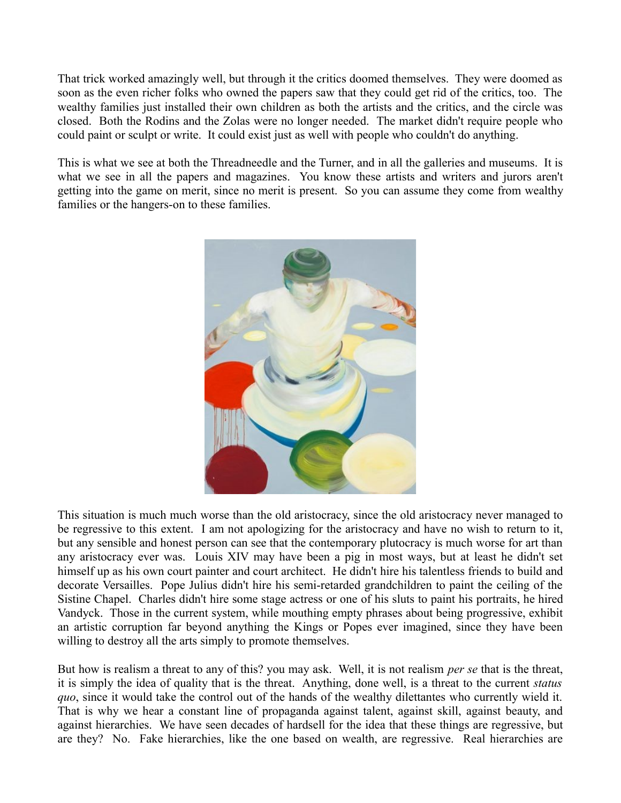That trick worked amazingly well, but through it the critics doomed themselves. They were doomed as soon as the even richer folks who owned the papers saw that they could get rid of the critics, too. The wealthy families just installed their own children as both the artists and the critics, and the circle was closed. Both the Rodins and the Zolas were no longer needed. The market didn't require people who could paint or sculpt or write. It could exist just as well with people who couldn't do anything.

This is what we see at both the Threadneedle and the Turner, and in all the galleries and museums. It is what we see in all the papers and magazines. You know these artists and writers and jurors aren't getting into the game on merit, since no merit is present. So you can assume they come from wealthy families or the hangers-on to these families.



This situation is much much worse than the old aristocracy, since the old aristocracy never managed to be regressive to this extent. I am not apologizing for the aristocracy and have no wish to return to it, but any sensible and honest person can see that the contemporary plutocracy is much worse for art than any aristocracy ever was. Louis XIV may have been a pig in most ways, but at least he didn't set himself up as his own court painter and court architect. He didn't hire his talentless friends to build and decorate Versailles. Pope Julius didn't hire his semi-retarded grandchildren to paint the ceiling of the Sistine Chapel. Charles didn't hire some stage actress or one of his sluts to paint his portraits, he hired Vandyck. Those in the current system, while mouthing empty phrases about being progressive, exhibit an artistic corruption far beyond anything the Kings or Popes ever imagined, since they have been willing to destroy all the arts simply to promote themselves.

But how is realism a threat to any of this? you may ask. Well, it is not realism *per se* that is the threat, it is simply the idea of quality that is the threat. Anything, done well, is a threat to the current *status quo*, since it would take the control out of the hands of the wealthy dilettantes who currently wield it. That is why we hear a constant line of propaganda against talent, against skill, against beauty, and against hierarchies. We have seen decades of hardsell for the idea that these things are regressive, but are they? No. Fake hierarchies, like the one based on wealth, are regressive. Real hierarchies are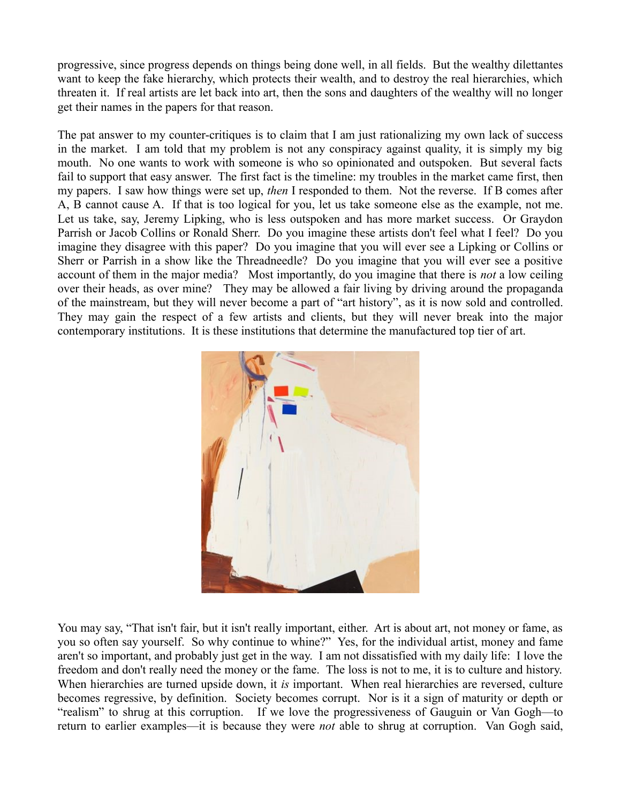progressive, since progress depends on things being done well, in all fields. But the wealthy dilettantes want to keep the fake hierarchy, which protects their wealth, and to destroy the real hierarchies, which threaten it. If real artists are let back into art, then the sons and daughters of the wealthy will no longer get their names in the papers for that reason.

The pat answer to my counter-critiques is to claim that I am just rationalizing my own lack of success in the market. I am told that my problem is not any conspiracy against quality, it is simply my big mouth. No one wants to work with someone is who so opinionated and outspoken. But several facts fail to support that easy answer. The first fact is the timeline: my troubles in the market came first, then my papers. I saw how things were set up, *then* I responded to them. Not the reverse. If B comes after A, B cannot cause A. If that is too logical for you, let us take someone else as the example, not me. Let us take, say, Jeremy Lipking, who is less outspoken and has more market success. Or Graydon Parrish or Jacob Collins or Ronald Sherr. Do you imagine these artists don't feel what I feel? Do you imagine they disagree with this paper? Do you imagine that you will ever see a Lipking or Collins or Sherr or Parrish in a show like the Threadneedle? Do you imagine that you will ever see a positive account of them in the major media? Most importantly, do you imagine that there is *not* a low ceiling over their heads, as over mine? They may be allowed a fair living by driving around the propaganda of the mainstream, but they will never become a part of "art history", as it is now sold and controlled. They may gain the respect of a few artists and clients, but they will never break into the major contemporary institutions. It is these institutions that determine the manufactured top tier of art.



You may say, "That isn't fair, but it isn't really important, either. Art is about art, not money or fame, as you so often say yourself. So why continue to whine?" Yes, for the individual artist, money and fame aren't so important, and probably just get in the way. I am not dissatisfied with my daily life: I love the freedom and don't really need the money or the fame. The loss is not to me, it is to culture and history. When hierarchies are turned upside down, it *is* important. When real hierarchies are reversed, culture becomes regressive, by definition. Society becomes corrupt. Nor is it a sign of maturity or depth or "realism" to shrug at this corruption. If we love the progressiveness of Gauguin or Van Gogh—to return to earlier examples—it is because they were *not* able to shrug at corruption. Van Gogh said,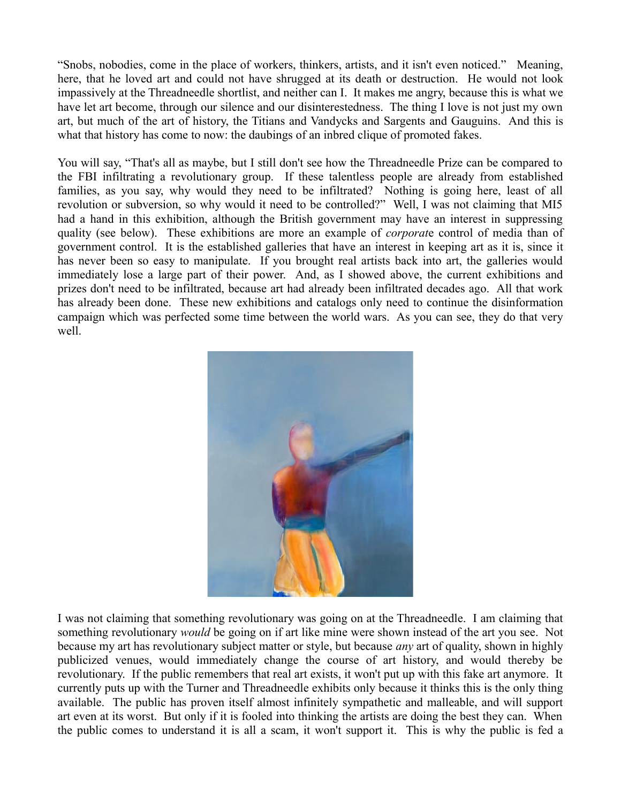"Snobs, nobodies, come in the place of workers, thinkers, artists, and it isn't even noticed." Meaning, here, that he loved art and could not have shrugged at its death or destruction. He would not look impassively at the Threadneedle shortlist, and neither can I. It makes me angry, because this is what we have let art become, through our silence and our disinterestedness. The thing I love is not just my own art, but much of the art of history, the Titians and Vandycks and Sargents and Gauguins. And this is what that history has come to now: the daubings of an inbred clique of promoted fakes.

You will say, "That's all as maybe, but I still don't see how the Threadneedle Prize can be compared to the FBI infiltrating a revolutionary group. If these talentless people are already from established families, as you say, why would they need to be infiltrated? Nothing is going here, least of all revolution or subversion, so why would it need to be controlled?" Well, I was not claiming that MI5 had a hand in this exhibition, although the British government may have an interest in suppressing quality (see below). These exhibitions are more an example of *corporat*e control of media than of government control. It is the established galleries that have an interest in keeping art as it is, since it has never been so easy to manipulate. If you brought real artists back into art, the galleries would immediately lose a large part of their power. And, as I showed above, the current exhibitions and prizes don't need to be infiltrated, because art had already been infiltrated decades ago. All that work has already been done. These new exhibitions and catalogs only need to continue the disinformation campaign which was perfected some time between the world wars. As you can see, they do that very well.



I was not claiming that something revolutionary was going on at the Threadneedle. I am claiming that something revolutionary *would* be going on if art like mine were shown instead of the art you see. Not because my art has revolutionary subject matter or style, but because *any* art of quality, shown in highly publicized venues, would immediately change the course of art history, and would thereby be revolutionary. If the public remembers that real art exists, it won't put up with this fake art anymore. It currently puts up with the Turner and Threadneedle exhibits only because it thinks this is the only thing available. The public has proven itself almost infinitely sympathetic and malleable, and will support art even at its worst. But only if it is fooled into thinking the artists are doing the best they can. When the public comes to understand it is all a scam, it won't support it. This is why the public is fed a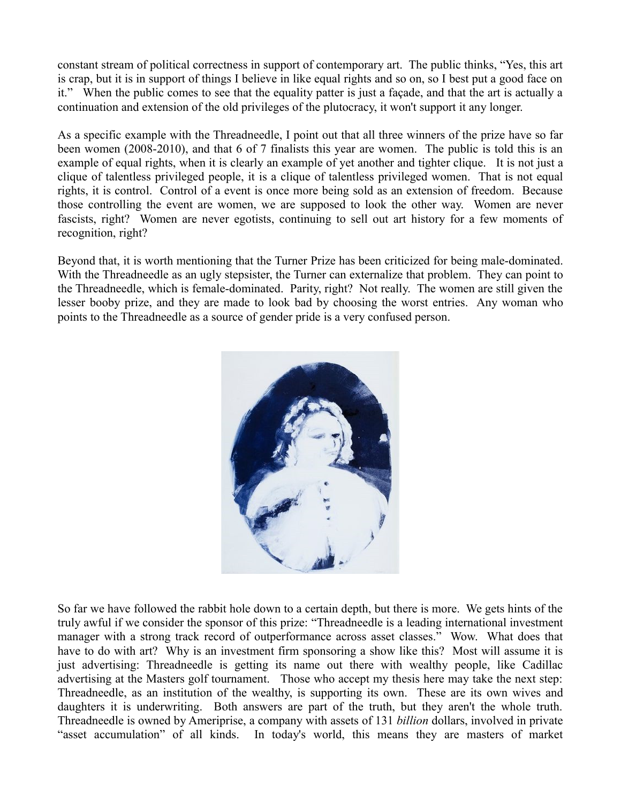constant stream of political correctness in support of contemporary art. The public thinks, "Yes, this art is crap, but it is in support of things I believe in like equal rights and so on, so I best put a good face on it." When the public comes to see that the equality patter is just a façade, and that the art is actually a continuation and extension of the old privileges of the plutocracy, it won't support it any longer.

As a specific example with the Threadneedle, I point out that all three winners of the prize have so far been women (2008-2010), and that 6 of 7 finalists this year are women. The public is told this is an example of equal rights, when it is clearly an example of yet another and tighter clique. It is not just a clique of talentless privileged people, it is a clique of talentless privileged women. That is not equal rights, it is control. Control of a event is once more being sold as an extension of freedom. Because those controlling the event are women, we are supposed to look the other way. Women are never fascists, right? Women are never egotists, continuing to sell out art history for a few moments of recognition, right?

Beyond that, it is worth mentioning that the Turner Prize has been criticized for being male-dominated. With the Threadneedle as an ugly stepsister, the Turner can externalize that problem. They can point to the Threadneedle, which is female-dominated. Parity, right? Not really. The women are still given the lesser booby prize, and they are made to look bad by choosing the worst entries. Any woman who points to the Threadneedle as a source of gender pride is a very confused person.



So far we have followed the rabbit hole down to a certain depth, but there is more. We gets hints of the truly awful if we consider the sponsor of this prize: "Threadneedle is a leading international investment manager with a strong track record of outperformance across asset classes." Wow. What does that have to do with art? Why is an investment firm sponsoring a show like this? Most will assume it is just advertising: Threadneedle is getting its name out there with wealthy people, like Cadillac advertising at the Masters golf tournament. Those who accept my thesis here may take the next step: Threadneedle, as an institution of the wealthy, is supporting its own. These are its own wives and daughters it is underwriting. Both answers are part of the truth, but they aren't the whole truth. Threadneedle is owned by Ameriprise, a company with assets of 131 *billion* dollars, involved in private "asset accumulation" of all kinds. In today's world, this means they are masters of market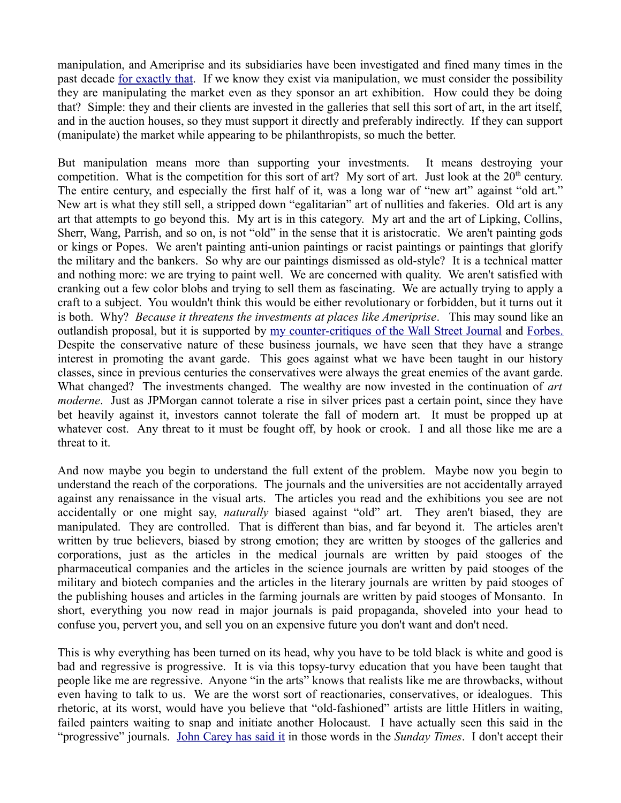manipulation, and Ameriprise and its subsidiaries have been investigated and fined many times in the past decade [for exactly that.](http://en.wikipedia.org/wiki/Ameriprise_Financial) If we know they exist via manipulation, we must consider the possibility they are manipulating the market even as they sponsor an art exhibition. How could they be doing that? Simple: they and their clients are invested in the galleries that sell this sort of art, in the art itself, and in the auction houses, so they must support it directly and preferably indirectly. If they can support (manipulate) the market while appearing to be philanthropists, so much the better.

But manipulation means more than supporting your investments. It means destroying your competition. What is the competition for this sort of art? My sort of art. Just look at the  $20<sup>th</sup>$  century. The entire century, and especially the first half of it, was a long war of "new art" against "old art." New art is what they still sell, a stripped down "egalitarian" art of nullities and fakeries. Old art is any art that attempts to go beyond this. My art is in this category. My art and the art of Lipking, Collins, Sherr, Wang, Parrish, and so on, is not "old" in the sense that it is aristocratic. We aren't painting gods or kings or Popes. We aren't painting anti-union paintings or racist paintings or paintings that glorify the military and the bankers. So why are our paintings dismissed as old-style? It is a technical matter and nothing more: we are trying to paint well. We are concerned with quality. We aren't satisfied with cranking out a few color blobs and trying to sell them as fascinating. We are actually trying to apply a craft to a subject. You wouldn't think this would be either revolutionary or forbidden, but it turns out it is both. Why? *Because it threatens the investments at places like Ameriprise*. This may sound like an outlandish proposal, but it is supported by [my counter-critiques of the Wall Street Journal](http://mileswmathis.com/wsj.html) and [Forbes.](http://milesmathis.com/le.html) Despite the conservative nature of these business journals, we have seen that they have a strange interest in promoting the avant garde. This goes against what we have been taught in our history classes, since in previous centuries the conservatives were always the great enemies of the avant garde. What changed? The investments changed. The wealthy are now invested in the continuation of *art moderne*. Just as JPMorgan cannot tolerate a rise in silver prices past a certain point, since they have bet heavily against it, investors cannot tolerate the fall of modern art. It must be propped up at whatever cost. Any threat to it must be fought off, by hook or crook. I and all those like me are a threat to it.

And now maybe you begin to understand the full extent of the problem. Maybe now you begin to understand the reach of the corporations. The journals and the universities are not accidentally arrayed against any renaissance in the visual arts. The articles you read and the exhibitions you see are not accidentally or one might say, *naturally* biased against "old" art. They aren't biased, they are manipulated. They are controlled. That is different than bias, and far beyond it. The articles aren't written by true believers, biased by strong emotion; they are written by stooges of the galleries and corporations, just as the articles in the medical journals are written by paid stooges of the pharmaceutical companies and the articles in the science journals are written by paid stooges of the military and biotech companies and the articles in the literary journals are written by paid stooges of the publishing houses and articles in the farming journals are written by paid stooges of Monsanto. In short, everything you now read in major journals is paid propaganda, shoveled into your head to confuse you, pervert you, and sell you on an expensive future you don't want and don't need.

This is why everything has been turned on its head, why you have to be told black is white and good is bad and regressive is progressive. It is via this topsy-turvy education that you have been taught that people like me are regressive. Anyone "in the arts" knows that realists like me are throwbacks, without even having to talk to us. We are the worst sort of reactionaries, conservatives, or idealogues. This rhetoric, at its worst, would have you believe that "old-fashioned" artists are little Hitlers in waiting, failed painters waiting to snap and initiate another Holocaust. I have actually seen this said in the "progressive" journals. [John Carey has said it](http://mileswmathis.com/carey.html) in those words in the *Sunday Times*. I don't accept their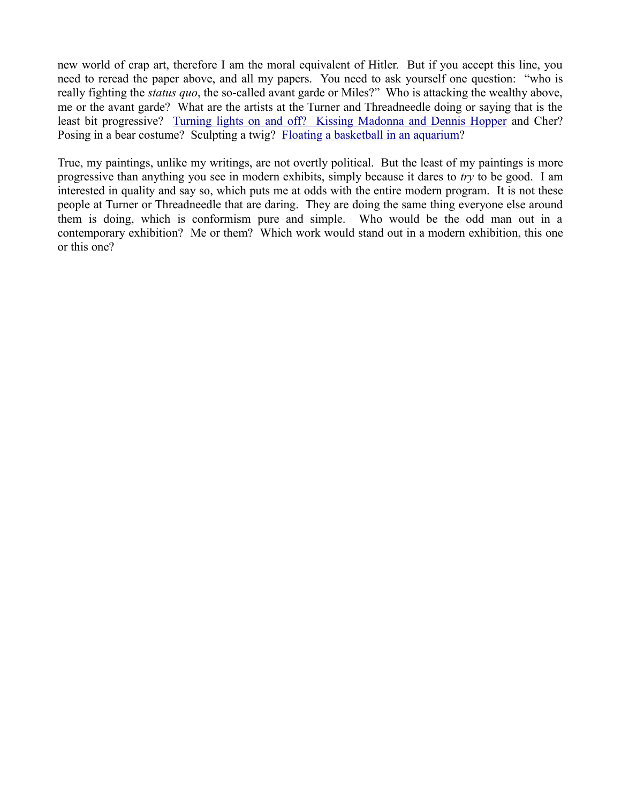new world of crap art, therefore I am the moral equivalent of Hitler. But if you accept this line, you need to reread the paper above, and all my papers. You need to ask yourself one question: "who is really fighting the *status quo*, the so-called avant garde or Miles?" Who is attacking the wealthy above, me or the avant garde? What are the artists at the Turner and Threadneedle doing or saying that is the least bit progressive? [Turning lights on and off? Kissing Madonna and Dennis Hopper](http://mileswmathis.com/turner.html) and Cher? Posing in a bear costume? Sculpting a twig? [Floating a basketball in an aquarium?](http://mileswmathis.con/fruitskin.html)

True, my paintings, unlike my writings, are not overtly political. But the least of my paintings is more progressive than anything you see in modern exhibits, simply because it dares to *try* to be good. I am interested in quality and say so, which puts me at odds with the entire modern program. It is not these people at Turner or Threadneedle that are daring. They are doing the same thing everyone else around them is doing, which is conformism pure and simple. Who would be the odd man out in a contemporary exhibition? Me or them? Which work would stand out in a modern exhibition, this one or this one?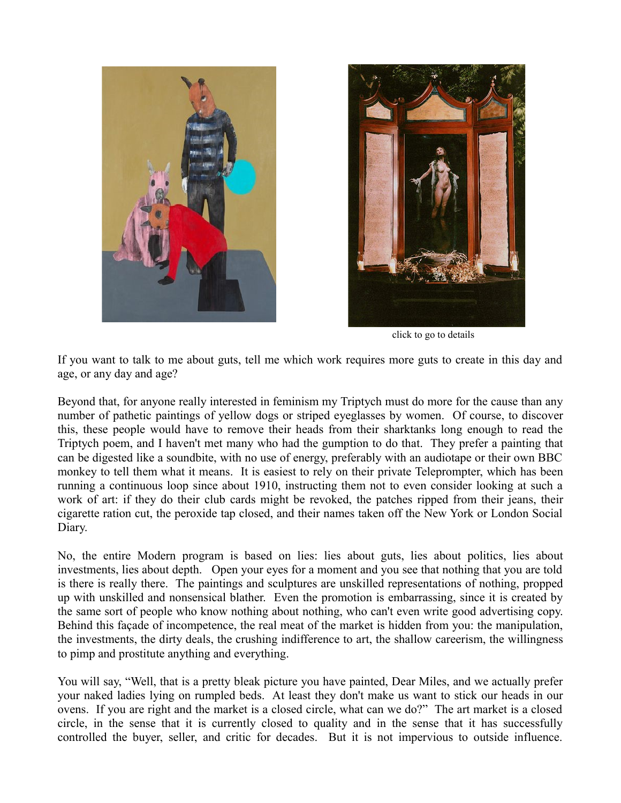



click to go to details

If you want to talk to me about guts, tell me which work requires more guts to create in this day and age, or any day and age?

Beyond that, for anyone really interested in feminism my Triptych must do more for the cause than any number of pathetic paintings of yellow dogs or striped eyeglasses by women. Of course, to discover this, these people would have to remove their heads from their sharktanks long enough to read the Triptych poem, and I haven't met many who had the gumption to do that. They prefer a painting that can be digested like a soundbite, with no use of energy, preferably with an audiotape or their own BBC monkey to tell them what it means. It is easiest to rely on their private Teleprompter, which has been running a continuous loop since about 1910, instructing them not to even consider looking at such a work of art: if they do their club cards might be revoked, the patches ripped from their jeans, their cigarette ration cut, the peroxide tap closed, and their names taken off the New York or London Social Diary.

No, the entire Modern program is based on lies: lies about guts, lies about politics, lies about investments, lies about depth. Open your eyes for a moment and you see that nothing that you are told is there is really there. The paintings and sculptures are unskilled representations of nothing, propped up with unskilled and nonsensical blather. Even the promotion is embarrassing, since it is created by the same sort of people who know nothing about nothing, who can't even write good advertising copy. Behind this façade of incompetence, the real meat of the market is hidden from you: the manipulation, the investments, the dirty deals, the crushing indifference to art, the shallow careerism, the willingness to pimp and prostitute anything and everything.

You will say, "Well, that is a pretty bleak picture you have painted, Dear Miles, and we actually prefer your naked ladies lying on rumpled beds. At least they don't make us want to stick our heads in our ovens. If you are right and the market is a closed circle, what can we do?" The art market is a closed circle, in the sense that it is currently closed to quality and in the sense that it has successfully controlled the buyer, seller, and critic for decades. But it is not impervious to outside influence.